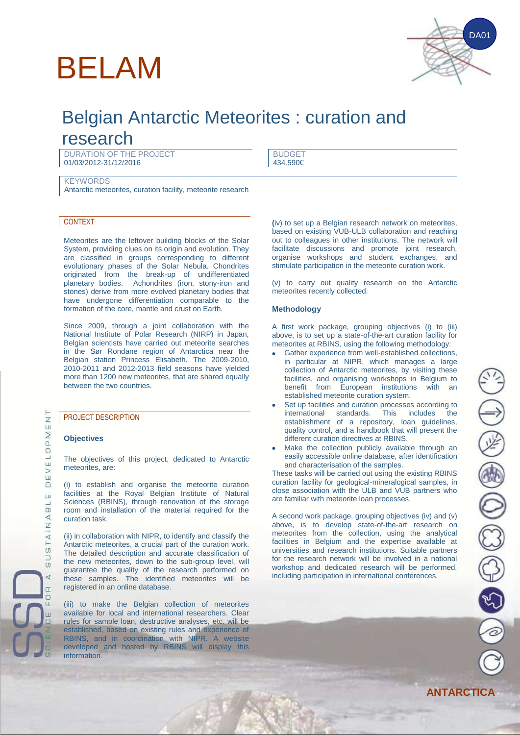# BELAM



## Belgian Antarctic Meteorites : curation and

### research

DURATION OF THE PROJECT 01/03/2012-31/12/2016

BUDGET 434.590€

**KEYWORDS** Antarctic meteorites, curation facility, meteorite research

#### CONTEXT

Meteorites are the leftover building blocks of the Solar System, providing clues on its origin and evolution. They are classified in groups corresponding to different evolutionary phases of the Solar Nebula. Chondrites originated from the break-up of undifferentiated planetary bodies. Achondrites (iron, stony-iron and stones) derive from more evolved planetary bodies that have undergone differentiation comparable to the formation of the core, mantle and crust on Earth.

Since 2009, through a joint collaboration with the National Institute of Polar Research (NIRP) in Japan, Belgian scientists have carried out meteorite searches in the Sør Rondane region of Antarctica near the Belgian station Princess Elisabeth. The 2009-2010, 2010-2011 and 2012-2013 field seasons have yielded more than 1200 new meteorites, that are shared equally between the two countries.

#### PROJECT DESCRIPTION

#### **Objectives**

The objectives of this project, dedicated to Antarctic meteorites, are:

(i) to establish and organise the meteorite curation facilities at the Royal Belgian Institute of Natural Sciences (RBINS), through renovation of the storage room and installation of the material required for the curation task.

(ii) in collaboration with NIPR, to identify and classify the Antarctic meteorites, a crucial part of the curation work. The detailed description and accurate classification of the new meteorites, down to the sub-group level, will guarantee the quality of the research performed on these samples. The identified meteorites will be registered in an online database.

(iii) to make the Belgian collection of meteorites available for local and international researchers. Clear rules for sample loan, destructive analyses, etc. will be established, based on existing rules and experience of RBINS, and in coordination with NIPR. A website developed and hosted by RBINS will display this information.

**(**iv) to set up a Belgian research network on meteorites, based on existing VUB-ULB collaboration and reaching out to colleagues in other institutions. The network will facilitate discussions and promote joint research, organise workshops and student exchanges, and stimulate participation in the meteorite curation work.

(v) to carry out quality research on the Antarctic meteorites recently collected.

#### **Methodology**

A first work package, grouping objectives (i) to (iii) above, is to set up a state-of-the-art curation facility for meteorites at RBINS, using the following methodology:

- Gather experience from well-established collections, in particular at NIPR, which manages a large collection of Antarctic meteorites, by visiting these facilities, and organising workshops in Belgium to<br>benefit from European institutions with an benefit from European institutions established meteorite curation system.
- Set up facilities and curation processes according to international standards. This includes the international standards. This includes the establishment of a repository, loan guidelines, quality control, and a handbook that will present the different curation directives at RBINS.
- Make the collection publicly available through an easily accessible online database, after identification and characterisation of the samples.

These tasks will be carried out using the existing RBINS curation facility for geological-mineralogical samples, in close association with the ULB and VUB partners who are familiar with meteorite loan processes.

A second work package, grouping objectives (iv) and (v) above, is to develop state-of-the-art research on meteorites from the collection, using the analytical facilities in Belgium and the expertise available at universities and research institutions. Suitable partners for the research network will be involved in a national workshop and dedicated research will be performed, including participation in international conferences.

 $\overline{z}$ ū